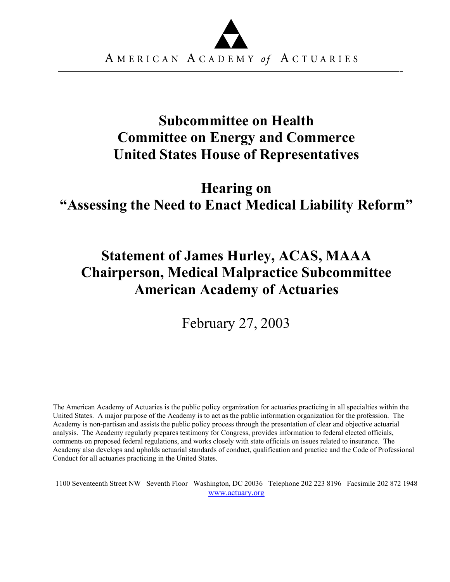

## **Subcommittee on Health Committee on Energy and Commerce United States House of Representatives**

## **Hearing on "Assessing the Need to Enact Medical Liability Reform"**

# **Statement of James Hurley, ACAS, MAAA Chairperson, Medical Malpractice Subcommittee American Academy of Actuaries**

February 27, 2003

The American Academy of Actuaries is the public policy organization for actuaries practicing in all specialties within the United States. A major purpose of the Academy is to act as the public information organization for the profession. The Academy is non-partisan and assists the public policy process through the presentation of clear and objective actuarial analysis. The Academy regularly prepares testimony for Congress, provides information to federal elected officials, comments on proposed federal regulations, and works closely with state officials on issues related to insurance. The Academy also develops and upholds actuarial standards of conduct, qualification and practice and the Code of Professional Conduct for all actuaries practicing in the United States.

1100 Seventeenth Street NW Seventh Floor Washington, DC 20036 Telephone 202 223 8196 Facsimile 202 872 1948 [www.actuary.org](http://www.actuary.org/)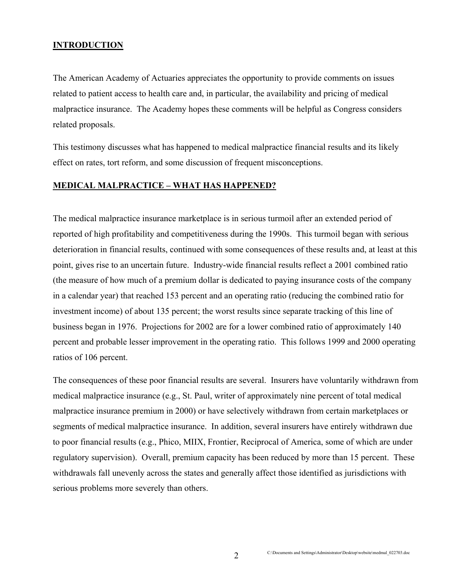## **INTRODUCTION**

The American Academy of Actuaries appreciates the opportunity to provide comments on issues related to patient access to health care and, in particular, the availability and pricing of medical malpractice insurance. The Academy hopes these comments will be helpful as Congress considers related proposals.

This testimony discusses what has happened to medical malpractice financial results and its likely effect on rates, tort reform, and some discussion of frequent misconceptions.

## **MEDICAL MALPRACTICE – WHAT HAS HAPPENED?**

The medical malpractice insurance marketplace is in serious turmoil after an extended period of reported of high profitability and competitiveness during the 1990s. This turmoil began with serious deterioration in financial results, continued with some consequences of these results and, at least at this point, gives rise to an uncertain future. Industry-wide financial results reflect a 2001 combined ratio (the measure of how much of a premium dollar is dedicated to paying insurance costs of the company in a calendar year) that reached 153 percent and an operating ratio (reducing the combined ratio for investment income) of about 135 percent; the worst results since separate tracking of this line of business began in 1976. Projections for 2002 are for a lower combined ratio of approximately 140 percent and probable lesser improvement in the operating ratio. This follows 1999 and 2000 operating ratios of 106 percent.

The consequences of these poor financial results are several. Insurers have voluntarily withdrawn from medical malpractice insurance (e.g., St. Paul, writer of approximately nine percent of total medical malpractice insurance premium in 2000) or have selectively withdrawn from certain marketplaces or segments of medical malpractice insurance. In addition, several insurers have entirely withdrawn due to poor financial results (e.g., Phico, MIIX, Frontier, Reciprocal of America, some of which are under regulatory supervision). Overall, premium capacity has been reduced by more than 15 percent. These withdrawals fall unevenly across the states and generally affect those identified as jurisdictions with serious problems more severely than others.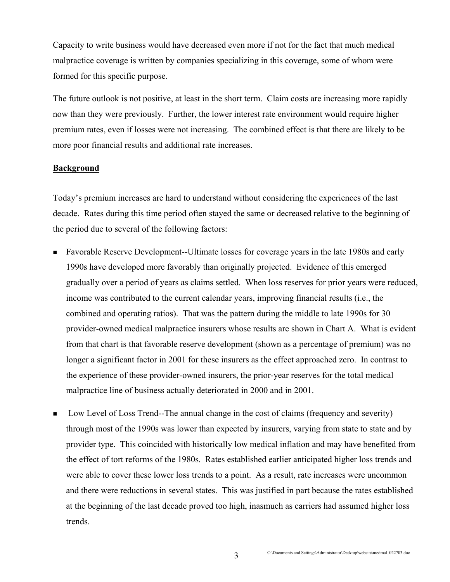Capacity to write business would have decreased even more if not for the fact that much medical malpractice coverage is written by companies specializing in this coverage, some of whom were formed for this specific purpose.

The future outlook is not positive, at least in the short term. Claim costs are increasing more rapidly now than they were previously. Further, the lower interest rate environment would require higher premium rates, even if losses were not increasing. The combined effect is that there are likely to be more poor financial results and additional rate increases.

### **Background**

Today's premium increases are hard to understand without considering the experiences of the last decade. Rates during this time period often stayed the same or decreased relative to the beginning of the period due to several of the following factors:

- Favorable Reserve Development--Ultimate losses for coverage years in the late 1980s and early 1990s have developed more favorably than originally projected. Evidence of this emerged gradually over a period of years as claims settled. When loss reserves for prior years were reduced, income was contributed to the current calendar years, improving financial results (i.e., the combined and operating ratios). That was the pattern during the middle to late 1990s for 30 provider-owned medical malpractice insurers whose results are shown in Chart A. What is evident from that chart is that favorable reserve development (shown as a percentage of premium) was no longer a significant factor in 2001 for these insurers as the effect approached zero. In contrast to the experience of these provider-owned insurers, the prior-year reserves for the total medical malpractice line of business actually deteriorated in 2000 and in 2001.
- Low Level of Loss Trend--The annual change in the cost of claims (frequency and severity) through most of the 1990s was lower than expected by insurers, varying from state to state and by provider type. This coincided with historically low medical inflation and may have benefited from the effect of tort reforms of the 1980s. Rates established earlier anticipated higher loss trends and were able to cover these lower loss trends to a point. As a result, rate increases were uncommon and there were reductions in several states. This was justified in part because the rates established at the beginning of the last decade proved too high, inasmuch as carriers had assumed higher loss trends.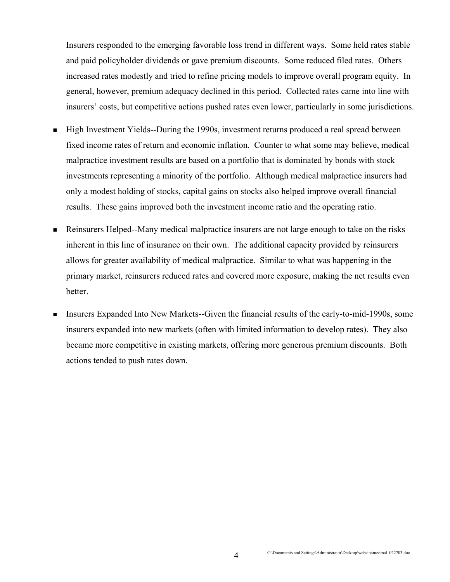Insurers responded to the emerging favorable loss trend in different ways. Some held rates stable and paid policyholder dividends or gave premium discounts. Some reduced filed rates. Others increased rates modestly and tried to refine pricing models to improve overall program equity. In general, however, premium adequacy declined in this period. Collected rates came into line with insurers' costs, but competitive actions pushed rates even lower, particularly in some jurisdictions.

- High Investment Yields--During the 1990s, investment returns produced a real spread between fixed income rates of return and economic inflation. Counter to what some may believe, medical malpractice investment results are based on a portfolio that is dominated by bonds with stock investments representing a minority of the portfolio. Although medical malpractice insurers had only a modest holding of stocks, capital gains on stocks also helped improve overall financial results. These gains improved both the investment income ratio and the operating ratio.
- Reinsurers Helped--Many medical malpractice insurers are not large enough to take on the risks inherent in this line of insurance on their own. The additional capacity provided by reinsurers allows for greater availability of medical malpractice. Similar to what was happening in the primary market, reinsurers reduced rates and covered more exposure, making the net results even better.
- Insurers Expanded Into New Markets--Given the financial results of the early-to-mid-1990s, some insurers expanded into new markets (often with limited information to develop rates). They also became more competitive in existing markets, offering more generous premium discounts. Both actions tended to push rates down.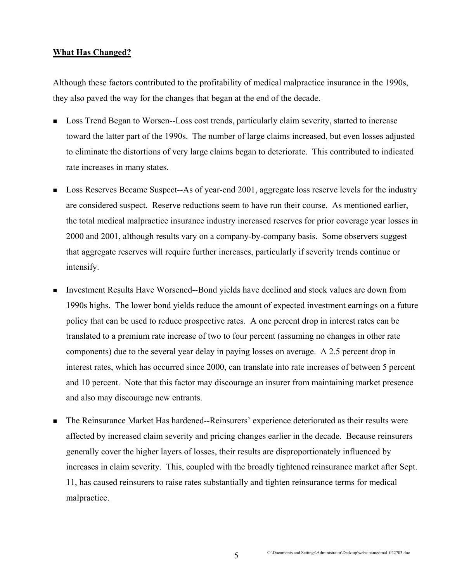## **What Has Changed?**

Although these factors contributed to the profitability of medical malpractice insurance in the 1990s, they also paved the way for the changes that began at the end of the decade.

- **Loss Trend Began to Worsen--Loss cost trends, particularly claim severity, started to increase** toward the latter part of the 1990s. The number of large claims increased, but even losses adjusted to eliminate the distortions of very large claims began to deteriorate. This contributed to indicated rate increases in many states.
- **Loss Reserves Became Suspect--As of year-end 2001, aggregate loss reserve levels for the industry** are considered suspect. Reserve reductions seem to have run their course. As mentioned earlier, the total medical malpractice insurance industry increased reserves for prior coverage year losses in 2000 and 2001, although results vary on a company-by-company basis. Some observers suggest that aggregate reserves will require further increases, particularly if severity trends continue or intensify.
- Investment Results Have Worsened--Bond yields have declined and stock values are down from 1990s highs. The lower bond yields reduce the amount of expected investment earnings on a future policy that can be used to reduce prospective rates. A one percent drop in interest rates can be translated to a premium rate increase of two to four percent (assuming no changes in other rate components) due to the several year delay in paying losses on average. A 2.5 percent drop in interest rates, which has occurred since 2000, can translate into rate increases of between 5 percent and 10 percent. Note that this factor may discourage an insurer from maintaining market presence and also may discourage new entrants.
- The Reinsurance Market Has hardened--Reinsurers' experience deteriorated as their results were affected by increased claim severity and pricing changes earlier in the decade. Because reinsurers generally cover the higher layers of losses, their results are disproportionately influenced by increases in claim severity. This, coupled with the broadly tightened reinsurance market after Sept. 11, has caused reinsurers to raise rates substantially and tighten reinsurance terms for medical malpractice.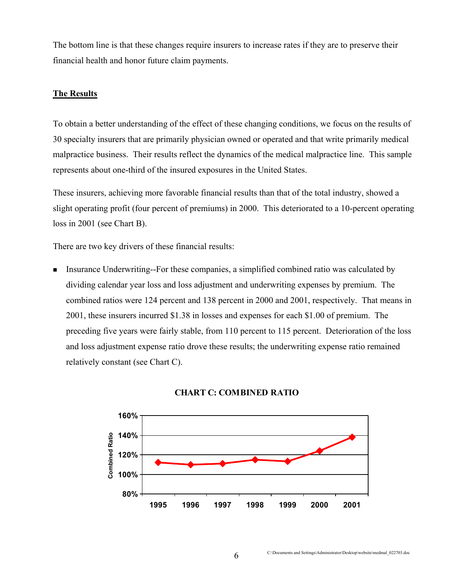The bottom line is that these changes require insurers to increase rates if they are to preserve their financial health and honor future claim payments.

## **The Results**

To obtain a better understanding of the effect of these changing conditions, we focus on the results of 30 specialty insurers that are primarily physician owned or operated and that write primarily medical malpractice business. Their results reflect the dynamics of the medical malpractice line. This sample represents about one-third of the insured exposures in the United States.

These insurers, achieving more favorable financial results than that of the total industry, showed a slight operating profit (four percent of premiums) in 2000. This deteriorated to a 10-percent operating loss in 2001 (see Chart B).

There are two key drivers of these financial results:

 Insurance Underwriting--For these companies, a simplified combined ratio was calculated by dividing calendar year loss and loss adjustment and underwriting expenses by premium. The combined ratios were 124 percent and 138 percent in 2000 and 2001, respectively. That means in 2001, these insurers incurred \$1.38 in losses and expenses for each \$1.00 of premium. The preceding five years were fairly stable, from 110 percent to 115 percent. Deterioration of the loss and loss adjustment expense ratio drove these results; the underwriting expense ratio remained relatively constant (see Chart C).



### **CHART C: COMBINED RATIO**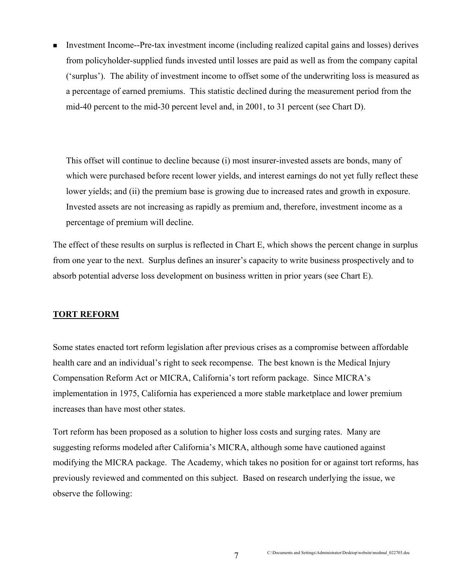Investment Income--Pre-tax investment income (including realized capital gains and losses) derives from policyholder-supplied funds invested until losses are paid as well as from the company capital ('surplus'). The ability of investment income to offset some of the underwriting loss is measured as a percentage of earned premiums. This statistic declined during the measurement period from the mid-40 percent to the mid-30 percent level and, in 2001, to 31 percent (see Chart D).

This offset will continue to decline because (i) most insurer-invested assets are bonds, many of which were purchased before recent lower yields, and interest earnings do not yet fully reflect these lower yields; and (ii) the premium base is growing due to increased rates and growth in exposure. Invested assets are not increasing as rapidly as premium and, therefore, investment income as a percentage of premium will decline.

The effect of these results on surplus is reflected in Chart E, which shows the percent change in surplus from one year to the next. Surplus defines an insurer's capacity to write business prospectively and to absorb potential adverse loss development on business written in prior years (see Chart E).

### **TORT REFORM**

Some states enacted tort reform legislation after previous crises as a compromise between affordable health care and an individual's right to seek recompense. The best known is the Medical Injury Compensation Reform Act or MICRA, California's tort reform package. Since MICRA's implementation in 1975, California has experienced a more stable marketplace and lower premium increases than have most other states.

Tort reform has been proposed as a solution to higher loss costs and surging rates. Many are suggesting reforms modeled after California's MICRA, although some have cautioned against modifying the MICRA package. The Academy, which takes no position for or against tort reforms, has previously reviewed and commented on this subject. Based on research underlying the issue, we observe the following: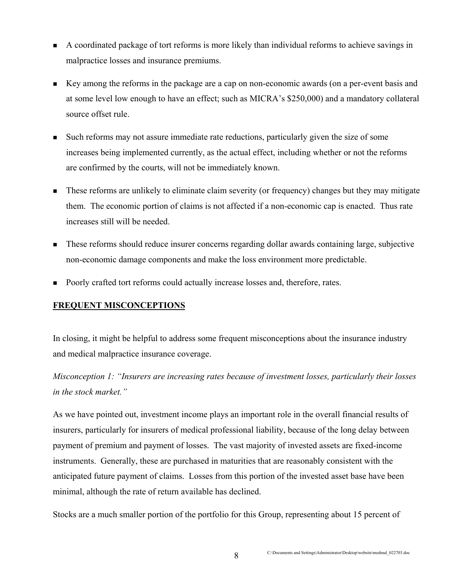- A coordinated package of tort reforms is more likely than individual reforms to achieve savings in malpractice losses and insurance premiums.
- Key among the reforms in the package are a cap on non-economic awards (on a per-event basis and at some level low enough to have an effect; such as MICRA's \$250,000) and a mandatory collateral source offset rule.
- Such reforms may not assure immediate rate reductions, particularly given the size of some increases being implemented currently, as the actual effect, including whether or not the reforms are confirmed by the courts, will not be immediately known.
- **These reforms are unlikely to eliminate claim severity (or frequency) changes but they may mitigate** them. The economic portion of claims is not affected if a non-economic cap is enacted. Thus rate increases still will be needed.
- These reforms should reduce insurer concerns regarding dollar awards containing large, subjective non-economic damage components and make the loss environment more predictable.
- Poorly crafted tort reforms could actually increase losses and, therefore, rates.

## **FREQUENT MISCONCEPTIONS**

In closing, it might be helpful to address some frequent misconceptions about the insurance industry and medical malpractice insurance coverage.

*Misconception 1: "Insurers are increasing rates because of investment losses, particularly their losses in the stock market."* 

As we have pointed out, investment income plays an important role in the overall financial results of insurers, particularly for insurers of medical professional liability, because of the long delay between payment of premium and payment of losses. The vast majority of invested assets are fixed-income instruments. Generally, these are purchased in maturities that are reasonably consistent with the anticipated future payment of claims. Losses from this portion of the invested asset base have been minimal, although the rate of return available has declined.

Stocks are a much smaller portion of the portfolio for this Group, representing about 15 percent of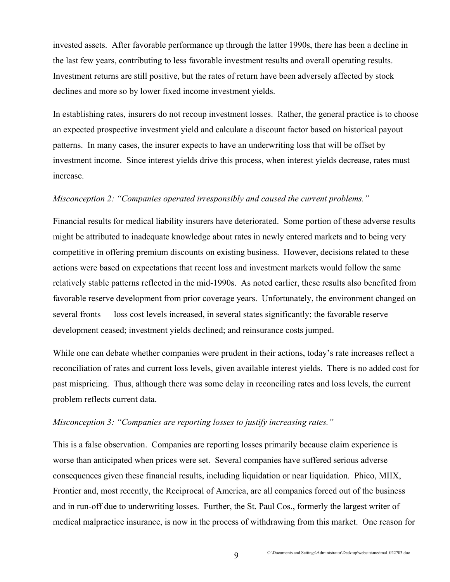invested assets. After favorable performance up through the latter 1990s, there has been a decline in the last few years, contributing to less favorable investment results and overall operating results. Investment returns are still positive, but the rates of return have been adversely affected by stock declines and more so by lower fixed income investment yields.

In establishing rates, insurers do not recoup investment losses. Rather, the general practice is to choose an expected prospective investment yield and calculate a discount factor based on historical payout patterns. In many cases, the insurer expects to have an underwriting loss that will be offset by investment income. Since interest yields drive this process, when interest yields decrease, rates must increase.

#### *Misconception 2: "Companies operated irresponsibly and caused the current problems."*

Financial results for medical liability insurers have deteriorated. Some portion of these adverse results might be attributed to inadequate knowledge about rates in newly entered markets and to being very competitive in offering premium discounts on existing business. However, decisions related to these actions were based on expectations that recent loss and investment markets would follow the same relatively stable patterns reflected in the mid-1990s. As noted earlier, these results also benefited from favorable reserve development from prior coverage years. Unfortunately, the environment changed on several fronts — loss cost levels increased, in several states significantly; the favorable reserve development ceased; investment yields declined; and reinsurance costs jumped.

While one can debate whether companies were prudent in their actions, today's rate increases reflect a reconciliation of rates and current loss levels, given available interest yields. There is no added cost for past mispricing. Thus, although there was some delay in reconciling rates and loss levels, the current problem reflects current data.

## *Misconception 3: "Companies are reporting losses to justify increasing rates."*

This is a false observation. Companies are reporting losses primarily because claim experience is worse than anticipated when prices were set. Several companies have suffered serious adverse consequences given these financial results, including liquidation or near liquidation. Phico, MIIX, Frontier and, most recently, the Reciprocal of America, are all companies forced out of the business and in run-off due to underwriting losses. Further, the St. Paul Cos., formerly the largest writer of medical malpractice insurance, is now in the process of withdrawing from this market. One reason for